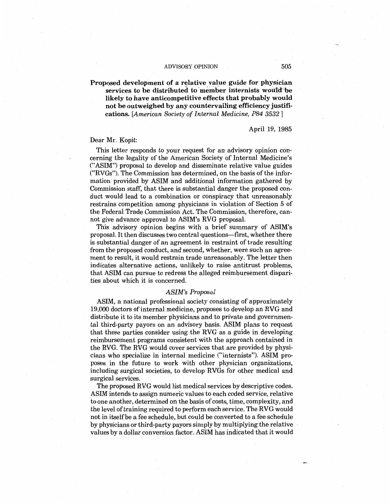## **Proposed development of a relative value guide for physician** services to be distributed to member internists would be **likely to have anticompetitive effects that probably would not be outweighed by any countervailing efficiency justifi'." cations.** *[American Society of Internal Medicine, P84 3532* ]

April 19, 1985

## Dear Mr. Kopit:

This letter responds to your request for an advisory opinion concerning the legality of the American Society of Internal Medicine's ("ASIM") proposal to develop and disseminate relative value guides ("RV Gs"). The Commission has determined, on the basis of the information provided by ASIM and additional information gathered by Commission staff, that there is substantial danger the proposed conduct would lead to a combination or conspiracy that unreasonably restrains competition among physicians in violation of Section 5 of the Federal Trade Commission Act. The Commission, therefore, cannot give advance approval to ASIM's RVG proposal.

This advisory opinion begins with a brief summary of ASIM's proposal. It then discusses two central questions-first, whether there is substantial danger of an agreement in restraint of trade resulting from the proposed conduct, and second, whether, were such an agreement to result, it would restrain trade unreasonably. The letter then indicates alternative actions, unlikely to raise antitrust problems, that ASIM can pursue to redress the alleged reimbursement disparities about which it is concerned.

### *ASIM's Proposal*

ASIM, a national professional society consisting of approximately 19,000 doctors of internal medicine, proposes to develop an RVG and distribute it to its member physicians and to private and governmental third-party payors on an advisory basis. ASIM plans to request that these parties consider using the RVG as a guide in developing reimbursement programs consistent with the approach contained in the RVG. The RVG would cover services that are provided by physicians who specialize in internal medicine ("internists"). ASIM proposes in the future to work with other physician organizations, including surgical societies, to develop RVGs for other medical and surgical services.

The proposed RVG would list medical services by descriptive codes. ASIM intends to assign numeric values to each coded service, relative to one another, determined on the basis of costs, time, complexity, and the level of training required to perform each service. The RVG would not in itselfbe a fee schedule, but could be converted to a fee schedule by physicians or third-party payors simply by multiplying the relative values by a dollar conversion factor. ASIM has indicated that it would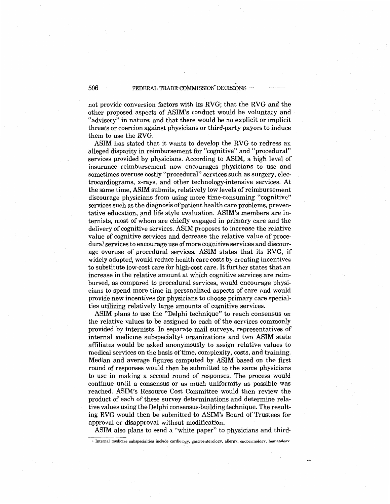## 506 FEDERAL TRADE COMMISSION DECISIONS

not provide conversion factors with its RVG; that the RVG and the other proposed aspects of ASIM's conduct would be voluntary and "advisory" in nature; and that there would be no explicit or implicit threats or coercion against physicians or third-party payors to induce them to use the RVG.

ASIM has stated that it wants to develop the RVG to redress an alleged disparity in reimbursement for "cognitive" and "procedural" services provided by physicians. According to ASIM, a high level of insurance reimbursement now encourages physicians to use and sometimes overuse costly ''procedural" services such as surgery, electrocardiograms, x-rays, and other technology-intensive services. At the same time, ASIM submits, relatively low levels of reimbursement discourage physicians from using more time-consuming "cognitive" services such as the diagnosis of patient health care problems, preventative education, and life style evaluation. ASIM's members are internists, most of whom· are chiefly engaged in primary care and the delivery of cognitive services. ASIM proposes to increase the relative value of cognitive services and decrease the relative value of procedural services to encourage use of more cognitive services and discourage overuse of procedural services. ASIM states that its RVG, if widely adopted, would reduce health care costs by creating incentives to substitute low-cost care for high-cost care. It further states that an increase in the relative amount at which cognitive services are reimbursed, as compared to procedural services, would encourage physicians to spend more time in personalized aspects of care and would provide new incentives for physicians to choose primary care specialties utilizing relatively large amounts of cognitive services.

ASIM plans to use the "Delphi technique" to reach consensus on the relative values to be assigned to each of the services commonly provided by internists. In separate mail surveys, representatives of internal medicine subspecialtyl organizations and two ASIM state affiliates would be asked anonymously to assign relative values to medical services on the basis of time, complexity, costs, and training. Median and average figures computed by ASIM based on the first round of responses would then be submitted to the same physicians to use in making a second round of responses. The process would continue until a consensus or as much uniformity as possible was reached. ASIM's Resource Cost Committee would then review the product of each of these survey determinations and determine relative values using the Delphi consensus-building technique. The resulting RVG would then be submitted to ASIM's Board of Trustees for approval or disapproval without modification.

ASIM also plans to send a "white paper" to physicians and third-

 $\frac{1}{2}$  Internal medicine subspecialties include cardiology, gastroenterology, allergy, endocrinology, hematology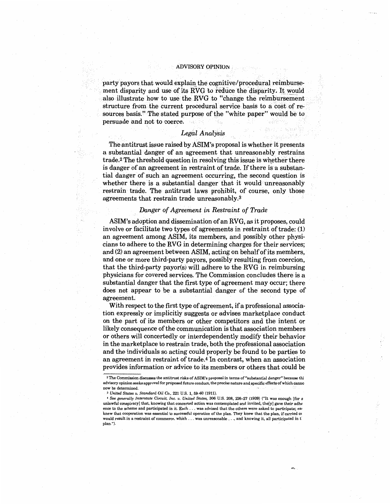party payors that would explain the cognitive/procedural reimbursement disparity and use of its RVG to reduce the disparity. It would also illustrate how to use the RVG to "change the reimbursement" structure from the current procedural service basis to a cost of resources basis.'' The stated purpose of the "white paper" would be to persuade and not to coerce.

## *Legal Analysis*

The antitrust issue raised by ASIM's proposal is whether it presents a substantial danger of an agreement that unreasonably restrains trade.<sup>2</sup> The threshold question in resolving this issue is whether there is danger of an agreement in restraint of trade. If there is a substantial danger of such an agreement occurring, the second question is whether there is a substantial danger that it would unreasonably restrain trade. The antitrust laws prohibit, of course, only those agreements that restrain trade unreasonably.<sup>3</sup>

## *Danger of Agreement in Restraint of Trade*

ASIM's adoption and dissemination of an RVG, as it proposes, could involve or facilitate two types of agreements in restraint of trade: (1) an agreement among ASIM, its members, and possibly other physicians to adhere to the RVG in determining charges for their services; and (2) an agreement between ASIM, acting on behalf of its members, and one or more third-party payors, possibly resulting from coercion, that the third-party payor(s) will adhere to the RVG in reimbursing physicians for covered services. The Commission concludes there is a substantial danger that the first type of agreement may occur; there does not appear to be a substantial danger of the second type of agreement.

With respect to the first type of agreement, if a professional association expressly or implicitly suggests or advises marketplace conduct on the part of its members or other competitors and the intent or likely consequence of the communication is that association members or others will concertedly or interdependently modify their behavior in the marketplace to restrain trade, both the professional association and the individuals so acting could properly be found to be parties to an agreement in restraint of trade.<sup>4</sup> In contrast, when an association provides information or advice to its members or others that could be

<sup>2</sup>The Commission discusses the antitrust risks of **ASIM's** proposal in terms of"substantial danger" because thi advisory opinion seeks approval for proposed future conduct, the precise nature and specific effects of which canno now be determined.<br> $^\mathrm{3}$  United States v. Standard Oil Co., 221 U.S. 1, 59–60 (1911).

<sup>3</sup>*UnitedStates v. Standard Oil Co.,* 221 U.S. 1, 59-60 (1911). 4 *See generally Interstate Circuit, Inc. v. United States,* 306 U.S. 208, 226-27 (1939) ("It was enough [for a unlawful conspiracy] that, knowing that concerted action was contemplated and invited, the[y] gave their adhe ence to the scheme and participated in it. Each ... was advised that the others were asked to participate; ea, knew that cooperation was essential to successful operation of the plan. They knew that the plan, if carried or would result in a restraint of commerce, which ... was unreasonable ... , and knowing it, all participated in t plan.").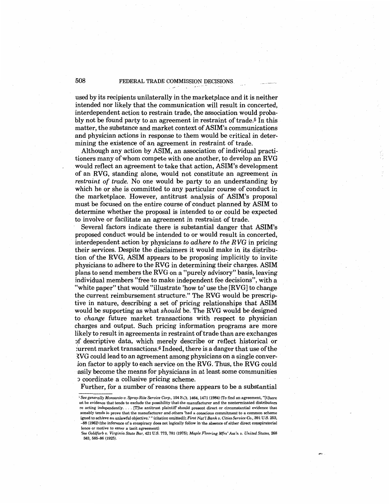## 508 FEDERAL TRADE COMMISSION DECISIONS.

used by its recipients unilaterally in the marketplace and it is neither intended nor likely that the communication will result in concerted, interdependent action to restrain trade, the association would probably not be found party to an agreement in restraint of trade.<sup>5</sup> In this matter, the substance and market context of ASIM's communications and physician actions in response to them would be critical in determining the existence of an agreement in restraint of trade.

Although any action by ASIM, an association of individual practitioners many of whom compete with one another, to develop an RVG would reflect an agreement to take that action, ASIM's development of an RVG, standing alone, would not constitute an agreement *in restraint of trade.* No one would be party to an understanding by which he or she is committed to any particular course of conduct in the marketplace. However, antitrust analysis of ASIM's proposal must be focused on the entire course of conduct planned by ASIM to determine whether the proposal is intended to or could be expected to involve or facilitate an agreement in restraint of trade.

Several factors indicate there is substantial danger that ASIM's proposed conduct would be intended to or would result in concerted, interdependent action by physicians *to adhere to the* R VG in pricing their services. Despite the disclaimers it would make in its distribution of the RVG, ASIM appears to be proposing implicitly to invite physicians to adhere to the RVG in determining their charges. ASIM plans to send members the RVG on a ''purely advisory" basis, leaving individual members "free to make independent fee decisions", with a ''white paper" that would ''illustrate 'how to' use the [RVG] to change the current reimbursement structure." The RVG would be prescriptive in nature, describing a set of pricing relationships that ASIM would be supporting as what *should* be. The RVG would be designed to *change* future market transactions with respect to physician charges and output. Such pricing information programs are more likely to result in agreements in restraint of trade than are exchanges ')f descriptive data, which merely describe or reflect historical or :urrent market transactions.6 Indeed, there is a danger that use of the :?.VG could lead to an agreement among physicians on a single conver- :ion factor to apply to each service on the RVG. Thus, the RVG could asily become the means for physicians in at least some communities ') coordinate a collusive pricing scheme.

Further, for a number of reasons there appears to be a substantial

<sup>;</sup> *See generally Monsanto v. Spray-Rite Service Corp.,* 104 S.Ct. 1464, 1471 (1984) (To find an agreement, "[t]here 1st be evidence that tends to exclude the possibility that the manufacturer and the nonterminated distributors re acting independently .... [T]he antitrust plaintiff should present direct or circumstantial evidence that .sonably tends to prove that the manufacturer and others 'had a conscious commitment to a common scheme igned to achieve an unlawful objective.'" (citation omitted)); *First Nat'l Bank v. Cities Service Co.,* 391 U.S. 253, -88 (1962) (the inference of a conspiracy does not logically follow in the absence of either direct conspiratorial lence or motive to enter a tacit agreement).

See *Goldfarb v. Virginia State Bar,* 421 U.S. 773, 781 (1975); *Maple Flooring Mfrs' Ass'n v. United States,* 268 563, 585-86 (1925).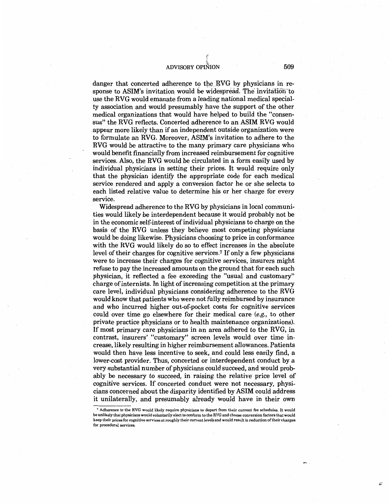$\eta$ I

danger that concerted adherence to the RVG by physicians in response to ASIM's invitation would be widespread. The invitation to use the RVG would emanate from a leading national medical specialty association and would presumably have the support of the other medical organizations that would have helped to build the "consensus" the RVG reflects. Concerted adherence to an ASIM RVG would appear more likely than if an independent outside organization were to formulate an RVG. Moreover, ASIM's invitation to adhere to the RVG would be attractive to the many primary care physicians who would benefit financially from increased reimbursement for cognitive services. Also, the RVG would be circulated in a form easity used by individual physicians in setting their prices. It would require only that the physician identify the appropriate code for each medical service rendered and apply a conversion factor he or she selects to each listed relative value to determine his or her charge for every service.

Widespread adherence to the RVG by physicians in local communities would likely be interdependent because it would probably not be in the economic self-interest of individual physicians to charge on the basis of the RVG unless they believe most competing physicians would be doing likewise. Physicians choosing to price in conformance with the RVG would likely do so to effect increases in the absolute level of their charges for cognitive services.<sup>7</sup> If only a few physicians were to increase their charges for cognitive services, insurers might refuse to pay the increased amounts on the ground that for each such physician, it reflected a fee exceeding the "usual and customary" charge of internists. In light of increasing competition at the primary care level, individual physicians considering adherence to the RVG would know that patients who were not fully reimbursed by insurance and who incurred higher out-of-pocket costs for cognitive services could over time go elsewhere for their medical care (e.g., to other private practice physicians or to health maintenance organizations). If most primary care physicians in an area adhered to the RVG, in contrast, insurers' "customary" screen levels would over time increase, likely resulting in higher reimbursement allowances. Patients would then have less incentive to seek, and could less easily find, a lower-cost provider. Thus, concerted or interdependent conduct by a very substantial number of physicians could succeed, and would probably be necessary to succeed, in raising the relative price level of cognitive services. If concerted conduct were not necessary, physicians concerned about the disparity identified by ASIM could address it unilaterally, and presumably already would have in their own

<sup>7</sup>Adherence to the RVG would likely require physicians to depart from their current fee schedules. It would be unlikely that physicians would voluntarily elect to conform to the RVG and choose conversion factors that would keep their prices for cognitive services at roughly their current levels and would result in reduction of their charges for procedural services.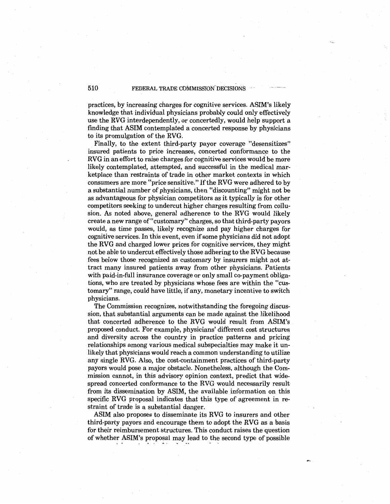## 510 FEDERAL TRADE COMMISSION DECISIONS

practices, by increasing charges for cognitive services. ASIM's likely knowledge that individual physicians probably could only effectively use the RVG interdependently, or concertedly, would help support a finding that ASIM contemplated a concerted response by physicians to its promulgation of the RVG.

Finally, to the extent third-party payor coverage "desensitizes" insured patients to price increases, concerted conformance to the RVG in an effort to raise charges for cognitive services would be more likely contemplated, attempted, and successful in the medical marketplace than restraints of trade in other market contexts in which consumers are more "price sensitive." If the RVG were adhered to by a substantial number of physicians, then "discounting" might not be as advantageous for physician competitors as it typically is for other competitors seeking to undercut higher charges resulting from collusion. As noted above, general adherence to the RVG would likely create a new range of "customary" charges, so that third-party payors would, as time passes, likely recognize and pay higher charges for cognitive services. In this event, even if some physicians did not adopt the RVG and charged lower prices for cognitive services, they might not be able to undercut effectively those adhering to the RVG because fees below those recognized as customary by insurers might not attract many insured patients away from other physicians. Patients with paid-in-full insurance coverage or only small co-payment obligations, who are treated by physicians whose fees are within the "customary" range, could have little, if any, monetary incentive to switch physicians.

The Commission recognizes, notwithstanding the foregoing discussion, that substantial arguments can be made against the likelihood that concerted adherence to the RVG would result from ASIM's proposed conduct. For example, physicians' different cost structures and diversity across the country in practice patterns and pricing relationships among various medical subspecialties may make it unlikely that physicians would reach a common understanding to utilize any single RVG. Also, the cost-containment practices of third-party payors would pose a major obstacle. Nonetheless, although the Commission cannot, in this advisory opinion context, predict that widespread concerted conformance to the RVG would necessarily result from its dissemination by ASIM, the available information on this specific RVG proposal indicates that this type of agreement in restraint of trade is a substantial danger.

ASIM also proposes to disseminate its RVG to insurers and other third-party payors and encourage them to adopt the RVG as a basis for their reimbursement structures. This conduct raises the question of whether ASIM's proposal may lead to the second type of possible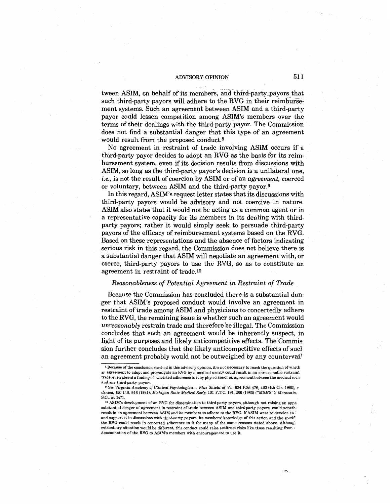tween ASIM, on behalf of its members, and third-party \_payors that such third-party payors will adhere to the RVG in their reimbursement systems. Such an agreement between ASIM and a third-party payor could lessen competition among ASIM's members over the terms of their dealings with the third-party payor. The Commission does not find a substantial danger that this type of an agreement would result from the proposed conduct.<sup>8</sup>

No agreement in restraint of trade involving ASIM occurs if a third-party payor decides to adopt an RVG as the basis for its reimbursement system, even if its decision results from discus§ions with ASIM, so long as the third-party payor's decision is a unilateral one, *i.e.,* is not the result of coercion by ASIM or of an *agreement,* coerced or voluntary, between ASIM and the third-party payor.<sup>9</sup>

In this regard, ASIM's request letter states that its discussions with third-party payors would be advisory and not coercive in nature. ASIM also states that it would not be acting as a common agent or in a representative capacity for its members in its dealing with thirdparty payors; rather it would simply seek to persuade third-party payors of the efficacy of reimbursement systems based on the RVG. Based on these representations and the absence of factors indicating serious risk in this regard, the Commission does not believe there is a substantial danger that ASIM will negotiate an agreement with, or coerce, third-party payors to use the RVG, so as to constitute an agreement in restraint of trade.lo

## *Reasonableness of Potential Agreement in Restraint of Trade*

Because the Commission has concluded there is a substantial danger that ASIM's proposed conduct would involve an agreement in restraint of trade among ASIM and physicians to concertedly adhere to the RVG, the remaining issue is whether such an agreement would *unreasonably* restrain trade and therefore be illegal. The Commission concludes that such an agreement would be inherently suspect, in light of its purposes and likely anticompetitive effects. The Commission further concludes that the likely anticompetitive effects of sue} an agreement probably would not be outweighed by any countervail

<sup>&</sup>lt;sup>8</sup> Because of the conclusion reached in this advisory opinion, it is not necessary to reach the question of wheth an agreement to adopt and promulgate an RVG by a medical society could result in an unreasonable restraint trade, even absent a finding of concerted adherence to it by physicians or an agreement between the medical soci, and any third-party payors.

<sup>9</sup>*See Virginia Academy of Clinical Psychologists v. Blue Shield of Va.,* 624 F.2d 4\_76, 483 (4th Cir. 1980), *c denied,* 450 U.S. 916 (1981); *Michigan State Medical Soc'y,* 101 F.T.C. 191,286 (1983) *("MSMS"); Monsanto,*  S.Ct. at 1471.

<sup>10</sup> ASIM's development of an RVG for dissemination to third-party payors, although not raising an appa substantial danger of agreement in restraint of trade between ASIM and third-party payors, could noneth, result in an agreement between ASIM and its members to adhere to the RVG. If ASIM were to develop an *:*  and support it in discussions with third-party payors, its members' knowledge of this action and the specif the RVG could result in concerted adherence to it for many of the same reasons stated above. Although evidentiary situation would be different, this conduct could raise antitrust risks like those resulting from , dissemination of the RVG to ASIM's members with encouragement to use it.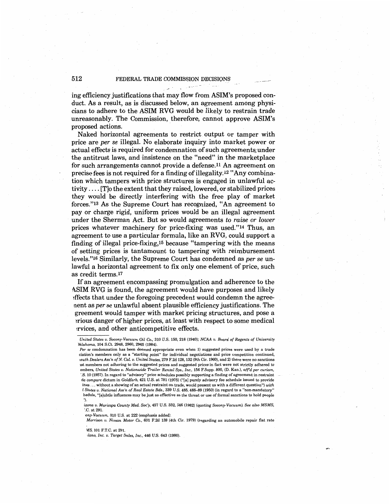## 512 FEDERAL TRADE COMMISSION DECISIONS

. .,- .

ing efficiency justifications that may flow from ASIM's proposed conduct. As a result, as is discussed below, an agreement among physicians to adhere to the ASIM RVG would be likely to restrain trade unreasonably. The Commission, therefore, cannot approve ASIM's proposed actions.

Naked horizontal agreements to restrict output or tamper with price are *per se* illegal. No elaborate inquiry into market power or actual effects is required for condemnation of such agreements under the antitrust laws, and insistence on the "need" in the marketplace for such arrangements cannot provide a defense.11 An agreement on precise fees is not required for a finding of illegality.<sup>12</sup> "Any combination which tampers with price structures is engaged in unlawful activity .... [T]o the extent that they raised, lowered, or stabilized prices they would be directly interfering with the free play of market forces."13 As the Supreme Court has recognized, "An agreement to pay or charge rigid, uniform prices would be an illegal agreement under the Sherman Act. But so would agreements *to raise or lower*  prices whatever machinery for price-fixing was used."14 Thus, an agreement to use a particular formula, like an RVG, could support a finding of illegal price-fixing,15 because "tampering with the means of setting prices is tantamount to tampering with reimbursement levels."16 Similarly, the Supreme Court has condemned as *per se* unlawful a horizontal agreement to fix only one element of price, such as credit terms.17

If an agreement encompassing promulgation and adherence to the ASIM RVG is found, the agreement would have purposes and likely ?ffects that under the foregoing precedent would condemn the agreenent as *per se* unlawful absent plausible efficiency justifications. The greement would tamper with market pricing structures, and pose a ~rious danger of higher prices, at least with respect to some medical !fvices, and other anticompetitive effects.

*izona v. Maricopa County Med. Soc'y,* 457 U.S. 332, 346 (1982) (quoting *Socony-Vacuum). See also MSMS,*  '.C. at 291.

*·ony-Vacuum,* 310 U.S. at 222 (emphasis added}.

*Morrison v. Nissan* Motor Co., 601 F.2d 139 (4th Cir. 1979} (regarding an automobile repair flat rate

\1S, 101 F.T.C. at 291.

*tlano, Inc. v. Target Sales, Inc.,* 446 U.S. 643 (1980).

*United States v. Socony-Vacuum Oil* Co., 310 U.S. 150, 218 (1940); *NCAA v. Board of Regents of University )klahoma,* 104 S.Ct. 2948, 2960, 2965 (1984).

*Per se* condemnation has been deemed appropriate even when 1} suggested prices were used by a trade ciation's members only as a "starting point" for individual negotiations and price competition continued, *wuth Dealers Ass'n of N. Cal. v. United States,* 279 F.2d 128, 132 (9th Cir. 1960), and 2) there were no sanctions 1st members not adhering to the suggested prices and suggested prices in fact were not strictly adhered to embers, *United States v. Nationwide Trailer Rental Sys., Inc.,* 156 F.Supp. 800, (D. Kan.}, *aff d per curiam,*  · .S. 10 (1957). In regard to "advisory" price schedules possibly supporting a finding of agreement in restraint de *compare* dictum in *Goldfarb,* 421 U.S. at 781 (1975} ("[a] purely advisory fee schedule issued to provide ines ... without a showing of an actual restraint on trade, would present us with a different question") *with l States v. National Ass'n of Real Estate Bds.,* 339 U.S. 485, 488-89 (1950} (in regard to a "non-mandatory" hedule, "[s]ubtle influences may be just as effective as the threat or use of formal sanctions to hold people ''}.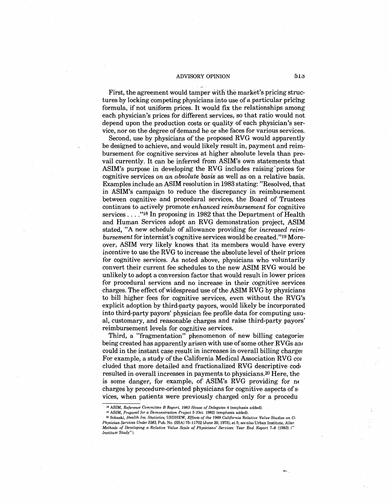First, the agreement would tamper with the market's pricing structures by locking competing physicians into use of a particular pricing formula, if not uniform prices. It would fix the relationships among each physician's prices for different services, so that ratio would not depend upon the production costs or quality of each physician's service, nor on the degree of demand he or she faces for various services.

Second, use by physicians of the proposed RVG would apparently be designed to achieve, and would likely result in, payment and reimbursement for cognitive services at higher absolute levels than prevail currently. It can be inferred from ASIM's own statements that ASIM's purpose in developing the RVG includes raising prices for cognitive services *on an absolute basis* as well as on a relative basis. Examples include an ASIM resolution in 1983 stating: "Resolved, that in ASIM's campaign to reduce the discrepancy in reimbursement between cognitive and procedural services, the Board of Trustees continues to actively promote *enhanced reimbursement* for cognitive services .... "18 In proposing in 1982 that the Department of Health and Human Services adopt an RVG demonstration project, ASIM stated, *''A* new schedule of allowance providing for *increased reimbursement* for internist's cognitive services would be created."19 Moreover, ASIM very likely knows that its members would have every incentive to use the RVG to increase the absolute level of their prices for cognitive services. As noted above, physicians who voluntarily convert their current fee schedules to the new ASIM RVG wouid be unlikely to adopt a conversion factor that would result in lower prices for procedural services and no increase in their cognitive services charges. The effect of widespread use of the ASIM RVG by physicians to bill higher fees for cognitive services, even without the RVG's explicit adoption by third-party payors, would likely be incorporated into third-party payors' physician fee profile data for computing usual, customary, and reasonable charges and raise third-party payors' reimbursement levels for cognitive services.

Third, a "fragmentation" phenomenon of new billing categories being created has apparently arisen with use of some other RVGs and could in the instant case result in increases in overall billing charges For example, a study of the California Medical Association RVG cor eluded that more detailed and fractionalized RVG descriptive cod, resulted in overall increases in payments to physicians.20 Here, the· is some danger, for example, of ASIM's RVG providing for m charges by procedure-oriented physicians for cognitive aspects of s, vices, when patients were previously charged only for a procedu

<sup>18</sup>**ASIM,** *Reference Committee B Report, 1983 House of Delegates* **<sup>4</sup>**(emphasis added). 19 ASIM, *Proposal for a Demonstration Project* 3 (Oct. 1982) (emphasis added).

<sup>20</sup>Sobaski, *Health Ins. Statistics,* USDHEW, *Effects of the 1969 California Relative Value Studies on* Cr *Physician Services Under SMI,* Pub. No. (SSA) 75-11702 (June 20, 1975), at 5; *see also* Urban Institute, *Alter Methods of Developing* a *Relative Value Scale of Physicians' Services: Year End Report* 7-8 (1983) (" *Institute Study").*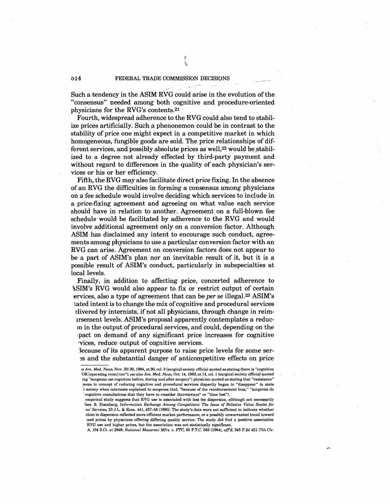Such a tendency in the ASIM RVG could arise in the evolution of the "consensus" needed among both cognitive and procedure-oriented physicians for the RVG's contents.21

Fourth, widespread adherence to the RVG could also tend to stabilize prices artificially. Such a phenonemon could be in contrast to the stability of price one might expect in a competitive market in which homogeneous, fungible goods are sold. The price relationships of different services, and possibly absolute prices as well, $22$  would be stabilized to a degree not already effected by third-party payment and without regard to differences in the quality of each physician's services or his or her efficiency.

Fifth, the RVG may also facilitate direct price fixing. In the absence of an RVG the difficulties in forming a consensus among physicians on a fee schedule would involve deciding which services to include in a price-fixing agreement and agreeing on what value each service should have in relation to another. Agreement on a full-blown fee schedule would be facilitated by adherence to the RVG and would involve additional agreement only on a conversion factor. Although ASIM has disclaimed any intent to encourage such conduct, agreements among physicians to use a particular conversion factor with an RVG can arise. Agreement on conversion factors does not appear to be a part of ASIM's plan nor an inevitable result of it, but it is a possible result of ASIM's conduct, particularly in subspecialties at local levels.

Finally, in addition to affecting price, concerted adherence to \.SIM's RVG would also appear to fix or restrict output of certain ervices, also a type of agreement that can be *per se* illegal.23 ASIM's tated intent is to change the mix of cognitive and procedural services ~livered by internists, if not all physicians, through change in reim-1rsement levels. ASIM's proposal apparently contemplates a reducm in the output of procedural services, and could, depending on the tpact on demand of any significant price increases for cognitive ·vices, reduce output of cognitive services.

3ecause of its apparent purpose to raise price levels for some ser- ~s and the substantial danger of anticompetitive effects on price

*A,* 104 S.Ct. at 2948; *National Macaroni Mfrs. v. FTC,* 65 F.T.C. 583 (1964), *aff* d, 345 F.2d 421 (7th Cir.

<sup>?</sup>e *Am. Med. News,* Nov. 23/30, 1984, at 30, col. 3 (surgical society official quoted as stating there is "cognition OR [operating room] too"); *see also Am. Med. News,* Oct. 14, 1983, at 14, col. 1 (surgical society official quoted ing "surgeons use cognition before, during and after surgery"; physician quoted as stating that "resistance" {eons to concept of reducing cognitive and procedural services disparity began to "disappear" in state 1 society when internists explained to surgeons that, "because of the reimbursement bias," "surgeons do · cognitive consultations that they have to consider throwaways" or "time lost").

empirical study suggests that RVG use is associated with less fee dispersion, although not necessarily fees. B. Eisenberg, *Information Exchange Among Competitors: The Issue of Relative Value Scales for*  :ns' *Services,* 23 J.L. & Econ. 441, 457-58 (1980). The study's data were not sufficient to indicate whether ction in dispersion reflected more efficient market performance, or a possibly unwarranted trend toward ized prices by physicians offering differing quality service. The study did find a positive association RVG use and higher prices, but the association was not statistically significant.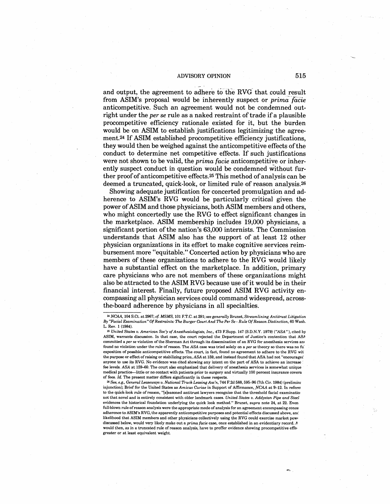and output, the agreement to adhere to the RVG that could result from ASIM's proposal would be inherently suspect or *prima facie* anticompetitive. Such an agreement would not be condemned outright under the *per se* rule as a naked restraint of trade if a plausible procompetitive efficiency rationale existed for it, but the burden would be on ASIM to establish justifications legitimizing the agreement.24 If ASIM established procompetitive efficiency justifications, they would then be weighed against the anticompetitive effects of the conduct to determine net competitive effects. If such justifications were not shown to be valid, the *prima facie* anticompetitive or inherently suspect conduct in question would be condemned without further proof of anticompetitive effects.25 This method of analysis can be deemed a truncated, quick-look, or limited rule of reason analysis.26

Showing adequate justification for concerted promulgation and adherence to ASIM's RVG would be particularly critical given the power of ASIM and those physicians, both ASIM members and others, who might concertedly use the RVG to effect significant changes in the marketplace. ASIM membership includes 19,000 physicians, a significant portion of the nation's 63,000 internists. The Commission understands that ASIM also has the support of at least 12 other physician organizations in its effort to make cognitive services reimbursement more ''equitable." Concerted action by physicians who are members of these organizations to adhere to the RVG would likely have a substantial effect on the marketplace. In addition, primary care physicians who are not members of these organizations might also be attracted to the ASIM RVG because use of it would be in their financial interest. Finally, future proposed ASIM RVG activity encompassing all physician services could command widespread, acrossthe-board adherence by physicians in all specialties.

<sup>24</sup>*NCAA,* 104 S.Ct. at 2967; *cf. MSMS,* 101 F.T.C. at 291; see *generally* Brunet, *Streamlining Antitrust Litigation By "Facial Examination" Of Restraints: The Burger Court And The Per Se* - *Rule Of Reason Distinction,* 60 Wash. L. Rev. 1 (1984).

<sup>26</sup>*See, e.g., General Leaseways v. National Truck Leasing Ass'n,* 744 F.2d 588, 595-96 (7th Cir. 1984} (prelimim injunction); Brief for the United States as *Amicus Curiae* in Support of Affirmance, NCAA at 9-12. In refere! to the quick-look rule of reason, "[s]easoned antitrust lawyers recognize that the threshold facial examinatio not that novel and is entirely consistent with older landmark cases. *United States v. Addyston Pipe and Steel*  evidences the historical foundation underlying the quick look method." Brunet, *supra* note 24, at 22. Even full-blown rule of reason analysis were the appropriate mode of analysis for an agreement encompassing conce adherence to ASIM's RVG, the apparently anticompetitive purposes and potential effects discussed above, anc' likelihood that ASIM members and other physicians collectively using the RVG could exercise market pow, discussed below, would very likely make out a *prima facie* case, once established in an evidentiary record. *A*  would then, as in a truncated rule of reason analysis, have to proffer evidence showing procompetitive effe, greater or at least equivalent weight.

<sup>25</sup>*United States v. American Soc'y of Anesthesiologists, Inc.,* 473 F.Supp. 147 (S.D.N.Y. 1979) ("ASA"), cited by ASIM, warrants discussion. In that case, the court rejected the. Department of Justice's contention that *ASA*  committed a *per se* violation of the Sherman Act through its dissemination of an RVG for anesthesia services and found no violation under the rule of reason. The *ASA* case was tried solely on a *per se* theory so there was no fu~ exposition of possible anticompetitive effects. The court, in fact, found no agreement to adhere to the RVG wit the purpose or effect ofraising or stabilizing price, *ASA* at 159, and instead found that ASA had not "encourage<' anyone to use its RVG. No evidence was cited showing any intent on the part of ASA to achieve an increase ' fee levels. *ASA* at 159-60. The court also emphasized that delivery of anesthesia services is somewhat unique medical practice-little or no contact with patients prior to surgery and virtually 100 percent insurance covera of fees. *Id.* The present matter differs significantly in these respects.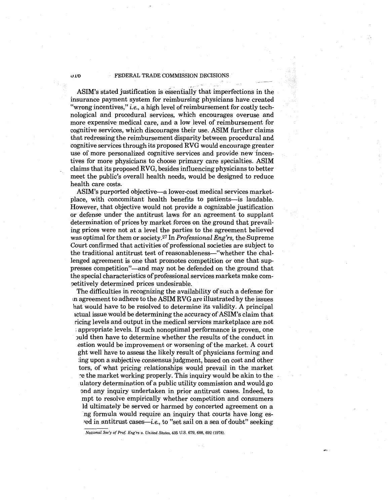#### **U.10** FEDERAL TRADE COMMISSION DECISIONS

ASIM's stated justification is essentially that imperfections in the insurance payment system for reimbursing physicians have created "wrong incentives," *i.e.*, a high level of reimbursement for costly technological and procedural services, which encourages overuse and more expensive medical care, and a low level of reimbursement for cognitive services, which discourages their use. ASIM further claims that redressing the reimbursement disparity between procedural and cognitive services through its proposed RVG would encourage greater use of more personalized cognitive services and provide new incentives for more physicians to choose primary care specialties. ASIM claims that its proposed RVG, besides influencing physicians to better meet the public's overall health needs, would be designed to reduce health care costs.

ASIM's purported objective—a lower-cost medical services marketplace, with concomitant health benefits to patients-is laudable. However, that objective would not provide a cognizable justification or defense under the antitrust laws for an agreement to supplant determination of prices by market forces on the ground that prevailing prices were not at a level the parties to the agreement believed was optimal for them or society.27 In *Professional Eng'rs,* the Supreme Court confirmed that activities of professional societies are subject to the traditional antitrust test of reasonableness-"whether the challenged agreement is one that promotes competition or one that suppresses competition"—and may not be defended on the ground that the special characteristics of professional services markets make com- ?etitively determined prices undesirable.

The difficulties in recognizing the availability of such a defense for m agreement to adhere to the ASIM RVG are illustrated by the issues hat would have to be resolved to determine its validity. A principal 1ctual issue would be determining the accuracy of ASIM's claim that ricing levels and output in the medical services marketplace are not ; appropriate levels. If such nonoptimal performance is proven, one )uld then have to determine whether the results of the conduct in .estion would be improvement or worsening of the market. A court ght well have to assess the likely result of physicians forming and ing upon a subjective consensus judgment, based on cost and other tors, of what pricing relationships would prevail in the market the market working properly. This inquiry would be akin to the ulatory determination of a public utility commission and would go ond any inquiry undertaken in prior antitrust cases. Indeed, to mpt to resolve empirically whether competition and consumers Id ultimately be served or harmed by concerted agreement on a ing formula would require an inquiry that courts have long es*red* in antitrust cases—*i.e.*, to "set sail on a sea of doubt" seeking

*National Soc'y of Prof. Eng'rs v. United States,* 435 U.S. 679, 688, 692 (1978).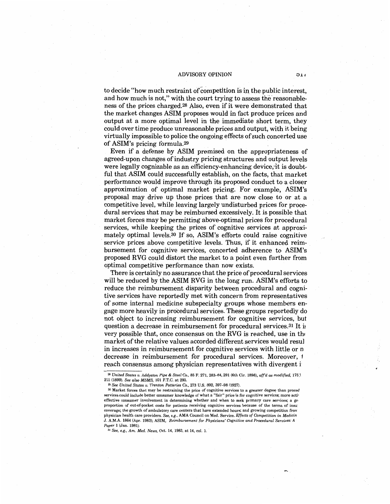#### ADVISORY OPINION **0.1,**

to decide "how much restraint of competition is in the public interest, and how much is not," with the court trying to assess the reasonableness of the prices charged.28 Also, even if it were demonstrated that the market changes ASIM proposes would in fact produce prices and output at a more optimal level in the immediate short term, they could over time produce unreasonable prices and output, with it being virtually impossible to police the ongoing effects of such concerted use of ASIM's pricing formula.29

Even if a defense by ASIM premised on the appropriateness of agreed-upon changes of industry pricing structures and output levels were legally cognizable as an efficiency-enhancing device, it is doubtful that ASIM could successfully establish, on the facts, that market performance would improve through its proposed conduct to a closer approximation of optimal market pricing. For example, ASIM's proposal may drive up those prices that are now close to or at a competitive level, while leaving largely undisturbed prices for procedural services that may be reimbursed excessively. It is possible that market forces may be permitting above-optimal prices for procedural services, while keeping the prices of cognitive services at approximately optimal levels.30 If so, ASIM's efforts could raise cognitive service prices above competitive levels. Thus, if it enhanced reimbursement for cognitive services, concerted adherence to ASIM's proposed RVG could distort the market to a point even further from optimal competitive performance than now exists.

There is certainly no assurance that the price of procedural services will be reduced by the ASIM RVG in the long run. ASIM's efforts to reduce the reimbursement disparity between procedural and cognitive services have reportedly met with concern from representatives of some internal medicine subspecialty groups whose members engage more heavily in procedural services. These groups reportedly do not object to increasing reimbursement for cognitive services, but question a decrease in reimbursement for procedural services.<sup>31</sup> It is very possible that, once consensus on the RVG is reached, use in the market of the relative values accorded different services would resu} in increases in reimbursement for cognitive services with little or n decrease in reimbursement for procedural services. Moreover, 1 reach consensus among physician representatives with divergent i

<sup>28</sup>*United States v. Addyston Pipe* & *Steel* Co., 85 F. 271, 283-84, 291 (6th Cir. 1898), *affd* as *modified,* 175.l 211 (1899). *See* also *MSMS;* 101 F.T.C. at 293.

<sup>&</sup>lt;sup>30</sup> Market forces that may be restraining the price of cognitive services to a greater degree than proced services could include better consumer knowledge of what a "fair" price is for cognitive services; more activ effective consumer involvement in determining whether and when to seek primary care services; a gr, proportion of out-of-pocket costs for patients receiving cognitive services because of the terms of insu: coverage; the growth of ambulatory care centers that have extended hours; and growing competition frorr physician health care providers. *See, e.g.,* **AMA** Council on Med. Service, *Effects of Competition in Medicin*  J. A.M.A. 1864 (Apr. 1983); ASIM, *Reimbursement for Physicians' Cognitive and Procedural Services: A Paper* 1 (Jan. 1981).

<sup>31</sup> *See, e.g., Am. Med. News,* Oct. 14, 1983, at 14, col. 1.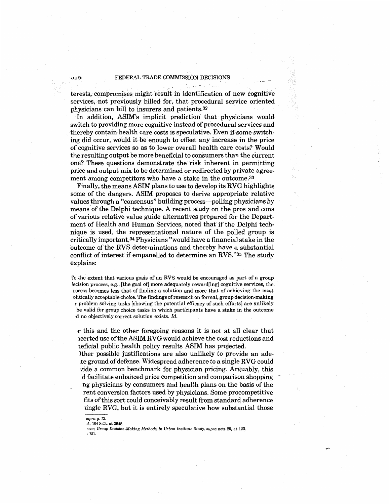terests, compromises might result in identification of new cognitive services, not previously billed for, that procedural service oriented physicians can bill to insurers and patients.32

In addition, ASIM's implicit prediction that physicians would switch to providing more cognitive instead of procedural services and thereby contain health care costs is speculative. Even if some switching did occur, would it be enough to offset any increase in the price of cognitive services so as to lower overall health care costs? Would the resulting output be more beneficial to consumers than the current one? These questions demonstrate the risk inherent in permitting price and output mix to be determined or redirected by private agreement among competitors who have a stake in the outcome.<sup>33</sup>

Finally, the means ASIM plans to use to develop its RVG highlights some of the dangers. ASIM proposes to derive appropriate relative values through a "consensus" building process--polling physicians by means of the Delphi technique. A recent study on the pros and cons of various relative value guide alternatives prepared for the Department of Health and Human Services, noted that if the Delphi technique is used, the representational nature of the polled group is critically important.34 Physicians "would have a financial stake in the outcome of the RVS determinations and thereby have a substantial conflict of interest if empanelled to determine an RVS."35 The study explains:

ro the extent that various goals of an RVS would be encouraged as part of a group lecision process, e.g., [the goal of] more adequately reward[ing] cognitive services, the rocess becomes less that of finding a solution and more that of achieving the most olitically acceptable choice. The findings of research on formal, group decision-making •r problem solving tasks [showing the potential efficacy of such efforts] are unlikely be valid for group choice tasks in which participants have a stake in the outcome '.d no objectively correct solution exists. *Id.* 

,r this and the other foregoing reasons it is not at all clear that 1certed use of the ASIM RVG would achieve the cost reductions and 1eficial public health policy results ASIM has projected;

)ther possible justifications are also unlikely to provide an adette ground of defense. Widespread adherence to a single RVG could vide a common benchmark for physician pricing. Arguably, this d facilitate enhanced price competition and comparison shopping ng physicians by consumers and health plans on the basis of the rent conversion factors used by physicians. Some procompetitive fits of this sort could conceivably result from standard adherence ,ingle RVG, but it is entirely speculative how substantial those

*<sup>;</sup>upra* p. 12.

A, 104 S.Ct. at 2948.

oson, *Group Decision-Making Methods,* in *Urban Institute Study, supra* note 20, at 123. ; 121.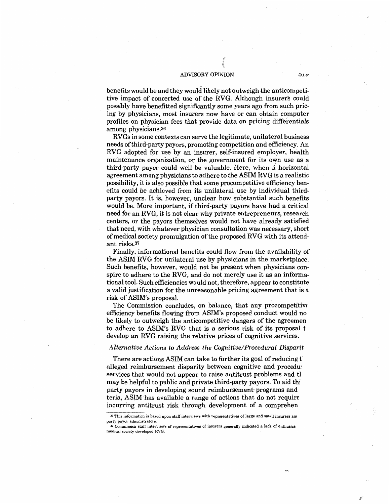benefits would be and they would iikely not outweigh the anticompetitive impact of concerted use of the RVG. Although insurers could possibly have benefitted significantly some years ago from such pricing by physicians, most insurers now have or can obtain computer profiles on physician fees that provide data on pricing differentials among physicians.36

RVGs in some contexts can serve the legitimate, unilateral business needs of third-party payors, promoting competition and efficiency. An RVG adopted for use by an insurer, self-insured employer, health maintenance organization, or the government for its own use as a third-party payor could well be valuable. Here, when a horizontal agreement among physicians to adhere to the ASIM RVG is a realistic possibility, it is also possible that some procompetitive efficiency benefits could be achieved from its unilateral use by individual thirdparty payors. It is, however, unclear how substantial such benefits would be. More important, if third-party payors have had a critical need for an RVG, it is not clear why private entrepreneurs, research centers, or the payors themselves would not have already satisfied that need, with whatever physician consultation was necessary, short of medical society promulgation of the proposed RVG with its attendant risks.37

Finally, informational benefits could flow from the availability of the ASIM RVG for unilateral use by physicians in the marketplace. Such benefits, however, would not be present when physicians conspire to adhere to the RVG, and do not merely use it as an informational tool. Such efficiencies would not, therefore, appear to constitute a valid justification for the unreasonable pricing agreement that is a risk of ASIM's proposal.

The Commission concludes, on balance, that any procompetitive efficiency benefits flowing from ASIM's proposed conduct would no be likely to outweigh the anticompetitive dangers of the agreemen to adhere to ASIM's RVG that is a serious risk of its proposal t develop an RVG raising the relative prices of cognitive services.

## *Alternative Actions to Address the Cognitive/Procedural Disparit*

There are actions ASIM can take to further its goal of reducing t alleged reimbursement disparity between cognitive and procedu: services that would not appear to raise antitrust problems and the may be helpful to public and private third-party payors. To aid thi party payors in developing sound reimbursement-programs and teria, ASIM has available a range of actions that do not require incurring antitrust risk through development of a comprehen

องอ

<sup>&</sup>lt;sup>36</sup> This information is based upon staff interviews with representatives of large and small insurers and<br>party payor administrators.

party payor administrators. 37 Commission staff interviews of representatives of insurers generally indicated a lack of enthusias: medical society developed RVG.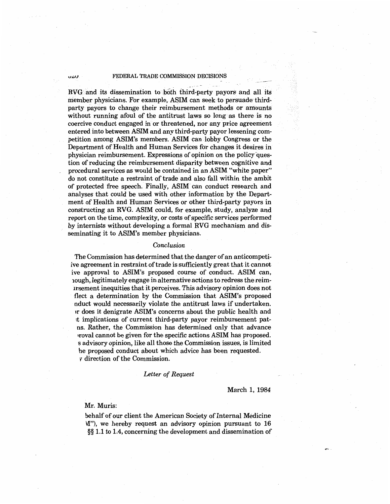## *v*<sup>*v*</sup> **FEDERAL TRADE COMMISSION DECISIONS**

RVG and its dissemination to both third-party payors and all its member physicians. For example, ASIM can seek to persuade thirdparty payors to change their reimbursement methods or amounts without running afoul of the antitrust laws so long as there· is no coercive conduct engaged in or threatened, nor any price agreement entered into between ASIM and any third-party payor lessening competition among ASIM's members. ASIM can lobby Congress or the Department of Health and Human Services for changes it desires in physician reimbursement. Expressions of opinion on the policy "question of reducing the reimbursement disparity between cognitive and procedural services as would be contained in an ASIM "white paper" do not constitute a restraint of trade and also fall within the ambit of protected free speech. Finally, ASIM can conduct research and analyses that could be used with other information by the Department of Health and Human Services or other third-party payors in constructing an RVG. ASIM could, for example, study, analyze and report on the time, complexity, or costs of specific services performed by internists without developing a formal RVG mechanism and disseminating it to ASIM's member physicians.

### *Conclusion*

The Commission has determined that the danger of an anticompetiive agreement in restraint of trade is sufficiently great that it cannot ive approval to ASIM's proposed course of conduct. ASIM can, 1ough, legitimately engage in alternative actions to redress the reimirsement inequities that it perceives. This advisory opinion does not flect a determination by the Commission that ASIM's proposed nduct would necessarily violate the antitrust laws if undertaken. lr does it denigrate ASIM's concerns about the public health and it implications of current third-party payor reimbursement patns. Rather, the Commission has determined only that advance ,roval cannot be given for the specific actions ASIM has proposed. s advisory opinion, like all those the Commission issues, is limited he proposed conduct about which advice has been requested. v direction of the Commission.

#### *Letter of Request*

### March 1, 1984

Mr. Muris:

behalf of our client the American Society of Internal Medicine W'), we hereby request an advisory opinion pursuant to 16 §§ 1.1 to 1.4, concerning the development and dissemination of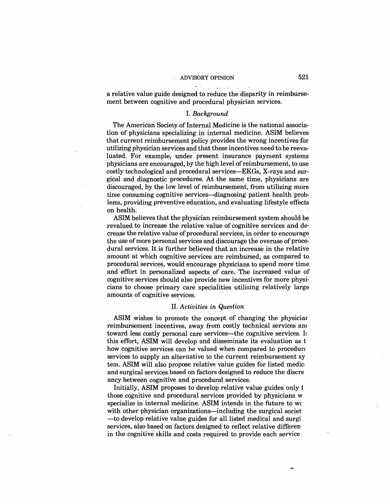a relative value guide designed to reduce the disparity in reimbursement between cognitive and procedural physician services.

## I. *Background*

The American Society of Internal Medicine is the national association of physicians specializing in internal medicine. ASIM believes that current reimbursement policy provides the wrong incentives for utilizing physician services and that these incentives need to be reevaluated. For example, under present insurance payment systems physicians are encouraged, by the high level ofreimbursement, to use costly technological and procedural services-EKGs, X-rays and surgical and diagnostic procedures. At the same time, physicians are discouraged, by the low level of reimbursement, from utilizing more time consuming cognitive services-diagnosing patient health problems, providing preventive education, and evaluating lifestyle effects on health.

ASIM believes that the physician reimbursement system should be revalued to increase the relative value of cognitive services and decrease the relative value of procedural services, in order to encourage the use of more personal services and discourage the overuse of procedural services. It is further believed that an increase in the relative amount at which cognitive services are reimbursed, as compared to procedural services, would encourage physicians to spend more time and effort in personalized aspects of care. The increased value of cognitive services should also provide new incentives for more physicians to choose primary care specialities utilizing relatively large amounts of cognitive services.

#### II. *Activities in Question*

ASIM wishes to promote the concept of changing the physiciar reimbursement incentives, away from costly technical services am toward less costly personal care services—the cognitive services. In this effort, ASIM will develop and disseminate its evaluation as t how cognitive services can be valued when compared to procedural services to supply an alternative to the current reimbursement sy tern. ASIM will also propose relative value guides for listed medic: and surgical services based on factors designed to reduce the discre ancy between cognitive and procedural services.

Initially, ASIM proposes to develop relative value guides only f those cognitive and procedural services provided by physicians w specialize in internal medicine. ASIM intends in the future to we with other physician organizations—including the surgical societ -to develop relative value guides for all listed medical and surgi services, also based on factors designed to reflect relative differen in the cognitive skills and costs required to provide each service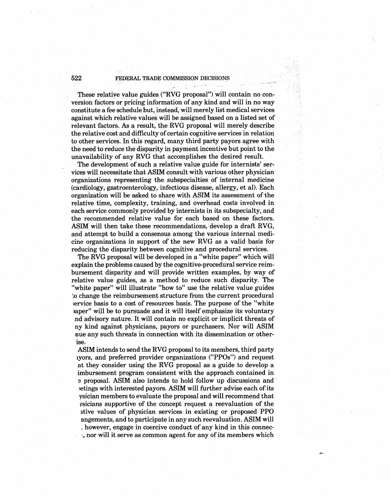## 522 FEDERAL.TRADE COMMISSION DECISIONS  $\frac{1}{2}$

These relative value guides ("RVG proposal") will contain no conversion factors or pricing information of any kind and will· in noway constitute a fee schedule but, instead, will merely list medical services against which relative values will be assigned based on a listed set of relevant factors. As a result, the RVG proposal will merely describe the relative cost and difficulty of certain cognitive services in relation to other services. In this regard, many third party payors agree with the need to reduce the disparity in payment incentive but point to the unavailability of any RVG that accomplishes the desired result.

The development of such a relative value guide for internists' services will necessitate that ASIM consult with various other physician organizations representing the subspecialties of internal medicine (cardiology, gastroenterology, infectious disease, allergy, et al). Each organization will be asked to share with ASIM its assessment of the relative time, complexity, training, and overhead costs involved in each service commonly provided by internists in its subspecialty, and the recommended relative value for each based on these factors. ASIM will then take these recommendations, develop a draft RVG, and attempt to build a consensus among the various internal medicine organizations in support of the new RVG as a valid basis for reducing the disparity between cognitive and procedural services.

The RVG proposal will be developed in a "white paper" which will explain the problems caused by the cognitive-procedural service reimbursement disparity and will provide written examples, by way of relative value guides, as a method to reduce such disparity. The "white paper" will illustrate "how to" use the relative value guides ~o change the reimbursement structure from the current procedural 1ervice basis to a cost of resources basis. The purpose of the "white )aper" will be to pursuade and it will itself emphasize its voluntary .nd advisory nature. It will contain no explicit or implicit threats of ny kind against physicians, payors or purchasers. Nor will ASIM sue any such threats in connection with its dissemination or otherise.

ASIM intends to send the RVG proposal to its members, third party 1yors, and preferred provider organizations ("PPOs") and request at they consider using the RVG proposal as a guide to develop a imbursement program consistent with the approach contained in e proposal. ASIM also intends to hold follow up discussions and etings with interested payors. ASIM will further advise each of its ysician members to evaluate the proposal and will recommend that vsicians supportive of the concept request a reevaluation of the 1tive values of physician services in existing or proposed PPO angements, and to participate in any such reevaluation. ASIM will , however, engage in coercive conduct of any kind in this connec-  $\mu$ , nor will it serve as common agent for any of its members which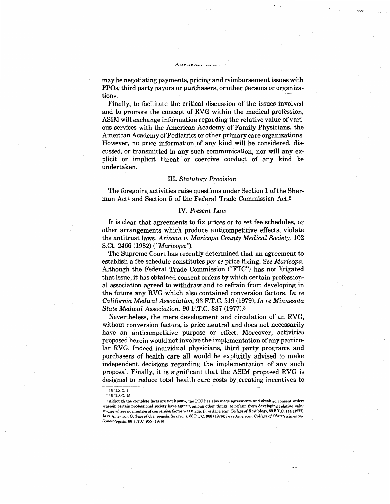**f\.LJ V .11.Jvu,,.** ---- \_\_ ..

Finally, to facilitate the critical discussion of the issues involved and to promote the concept of RVG within the medical profession, ASIM will exchange information regarding the relative value of various services with the American Academy of Family Physicians, the American Academy of Pediatrics or other primary care organizations. However, no price information of any kind will be considered, discussed, or transmitted in any such communication, nor will any explicit or implicit threat or coercive conduct of any kind be undertaken.

## **III.** Statutory Provision

The foregoing activities raise questions under Section 1 of the Sherman Act<sup>1</sup> and Section 5 of the Federal Trade Commission Act.<sup>2</sup>

## IV. *Present Law*

It is clear that agreements to fix prices or to set fee schedules, or other arrangements which produce anticompetitive effects, violate the antitrust laws. *Arizona v. Maricopa County Medical Society,* 102 S.Ct. 2466 (1982) *(''Maricopa").* 

The Supreme Court has recently determined that an agreement to establish a fee schedule constitutes *per se* price fixing. *See Maricopa.*  Although the Federal Trade Commission ("FTC") has not litigated that issue, it has obtained consent orders by which certain professional association agreed to withdraw and to refrain from developing in the future any RVG which also contained conversion factors. *In re California Medical Association,* 93 F.T.C. 519 (1979); *In re Minnesota State Medical Association,* 90 F.T.C. 337 (1977).3

Nevertheless, the mere development and circulation of an RVG, without conversion factors, is price neutral and does not necessarily have an anticompetitive purpose or effect. Moreover, activities proposed herein would not involve the implementation of any particular RVG. Indeed individual physicians, third party programs and purchasers of health care all would be explicitly advised to make independent decisions regarding the implementation of any such proposal. Finally, it is significant that the ASIM proposed RVG is designed to reduce total health care costs by creating incentives to

tions.

<sup>&</sup>lt;sup>1</sup> 15 U.S.C. 1

 $2,15$  U S  $C$ ,  $45$ 

<sup>&</sup>lt;sup>3</sup> Although the complete facts are not known, the FTC has also made agreements and obtained consent orders wherein certain professional society have agreed, among other things, to refrain from developing relative value studies where no mention of conversion factor was made. *In re American College of Radiology,* 89 F.T.C. 144 (1977) *In re American College of Orthopaedic Surgeons,* 88 F.T.C. 968 (1976); *In re American College of Obstetricians an, Gynecologists,* 88 F.T.C. 955 (1976).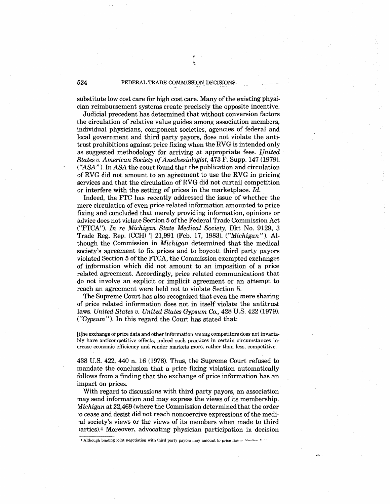## FEDERAL TRADE COMMISSION DECISIONS

 $\frac{1}{2}$  $\mathcal{I}$ 

substitute low cost care for high cost care. Many of the existing physician reimbursement systems create precisely the opposite incentive.

Judicial precedent has determined that without conversion factors the circulation of relative value guides among association members, individual physicians, component societies, agencies of federal and local government and third party payors, does not violate the antitrust prohibitions against price fixing when the RVG is intended only as suggested methodology for arriving at appropriate fees. *United States v. American Society of Anethesiologist,* 473 F. Supp. 147 (1979). *CASA").* In *ASA* the court found that the publication and circulation of RVG did not amount to an agreement to use the RVG in pricing services and that the circulation of RVG did not curtail competition or interfere with the setting of prices in the marketplace. *Id.* 

Indeed, the FTC has recently addressed the issue of whether the mere circulation of even price related information amounted to price fixing and concluded that merely providing information, opinions or advice does not violate Section 5 of the Federal Trade Commission Act ("FTCA"). *In re Michigan State Medical Society,* Dkt No. 9129, 3 Trade Reg. Rep. (CCH) n 21,991 (Feb. 17, 1983). *("Michigan").* Although the Commission in *Michigan* determined that the medical society's agreement to fix prices and to boycott third party payors violated Section 5 of the FTCA, the Commission exempted exchanges of information which did not amount to an imposition of a price related agreement. Accordingly, price related communications that do not involve an explicit or implicit agreement or an attempt to reach an agreement were held not to violate Section 5.

The Supreme Court has also recognized that even the mere sharing of price related information does not in itself violate the antitrust laws. *United States v. United States Gypsum* Co., 428 U.S. 422 (1979). *CGypsum"* ). In this regard the Court has stated that:

[t]he exchange of price data and other information among competitors does not invariably have anticompetitive effects; indeed such practices in certain circumstances increase economic efficiency and render markets more, rather than less, competitive.

438 U.S. 422, 440 n. 16 (1978). Thus, the Supreme Court refused to mandate the conclusion that a price fixing violation automatically follows from a finding that the exchange of price information has an impact on prices.

With regard to discussions with third party payors, an association may send information and may express the views of its membership. *Michigan* at 22,469 (where the Commission determined that the order ;o cease and desist did not reach noncoercive expressions of the medi- ~al society's views or the views of its members when made to third >arties).4 Moreover, advocating physician participation in decision

4 Although binding joint negotiation with third party payors may amount to price fixing. Section 5.3.

524